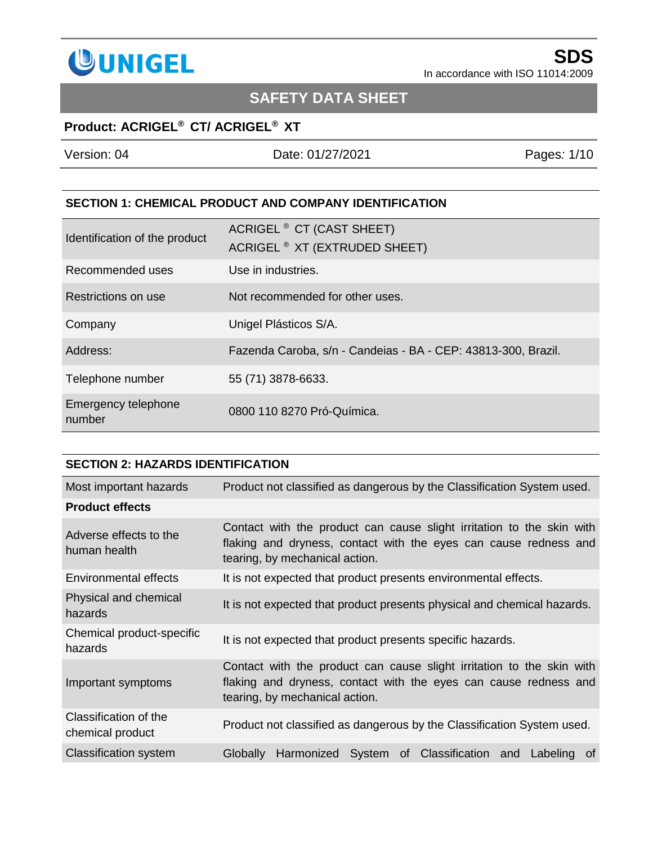

# **SAFETY DATA SHEET**

## **Product: ACRIGEL® CT/ ACRIGEL® XT**

| Version: 04 | Date: 01/27/2021 | Pages: 1/10 |
|-------------|------------------|-------------|
|             |                  |             |

#### **SECTION 1: CHEMICAL PRODUCT AND COMPANY IDENTIFICATION**

| Identification of the product | ACRIGEL <sup>®</sup> CT (CAST SHEET)<br>ACRIGEL <sup>®</sup> XT (EXTRUDED SHEET) |
|-------------------------------|----------------------------------------------------------------------------------|
| Recommended uses              | Use in industries.                                                               |
| Restrictions on use           | Not recommended for other uses.                                                  |
| Company                       | Unigel Plásticos S/A.                                                            |
| Address:                      | Fazenda Caroba, s/n - Candeias - BA - CEP: 43813-300, Brazil.                    |
| Telephone number              | 55 (71) 3878-6633.                                                               |
| Emergency telephone<br>number | 0800 110 8270 Pró-Química.                                                       |

| <b>SECTION 2: HAZARDS IDENTIFICATION</b>  |                                                                                                                                                                             |  |
|-------------------------------------------|-----------------------------------------------------------------------------------------------------------------------------------------------------------------------------|--|
| Most important hazards                    | Product not classified as dangerous by the Classification System used.                                                                                                      |  |
| <b>Product effects</b>                    |                                                                                                                                                                             |  |
| Adverse effects to the<br>human health    | Contact with the product can cause slight irritation to the skin with<br>flaking and dryness, contact with the eyes can cause redness and<br>tearing, by mechanical action. |  |
| <b>Environmental effects</b>              | It is not expected that product presents environmental effects.                                                                                                             |  |
| Physical and chemical<br>hazards          | It is not expected that product presents physical and chemical hazards.                                                                                                     |  |
| Chemical product-specific<br>hazards      | It is not expected that product presents specific hazards.                                                                                                                  |  |
| Important symptoms                        | Contact with the product can cause slight irritation to the skin with<br>flaking and dryness, contact with the eyes can cause redness and<br>tearing, by mechanical action. |  |
| Classification of the<br>chemical product | Product not classified as dangerous by the Classification System used.                                                                                                      |  |
| <b>Classification system</b>              | Harmonized System of Classification and Labeling<br>Globally<br>of.                                                                                                         |  |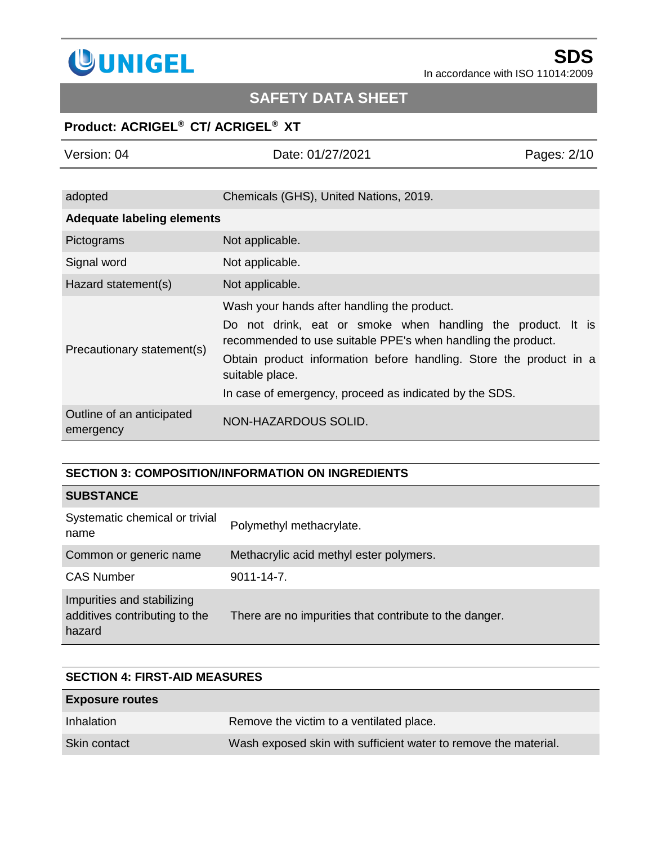

# **SAFETY DATA SHEET**

## **Product: ACRIGEL® CT/ ACRIGEL® XT**

| Version: 04                            | Date: 01/27/2021                                                                                                                                                                                                                                                                                                              | Pages: 2/10 |
|----------------------------------------|-------------------------------------------------------------------------------------------------------------------------------------------------------------------------------------------------------------------------------------------------------------------------------------------------------------------------------|-------------|
|                                        |                                                                                                                                                                                                                                                                                                                               |             |
| adopted                                | Chemicals (GHS), United Nations, 2019.                                                                                                                                                                                                                                                                                        |             |
| <b>Adequate labeling elements</b>      |                                                                                                                                                                                                                                                                                                                               |             |
| Pictograms                             | Not applicable.                                                                                                                                                                                                                                                                                                               |             |
| Signal word                            | Not applicable.                                                                                                                                                                                                                                                                                                               |             |
| Hazard statement(s)                    | Not applicable.                                                                                                                                                                                                                                                                                                               |             |
| Precautionary statement(s)             | Wash your hands after handling the product.<br>Do not drink, eat or smoke when handling the product. It is<br>recommended to use suitable PPE's when handling the product.<br>Obtain product information before handling. Store the product in a<br>suitable place.<br>In case of emergency, proceed as indicated by the SDS. |             |
| Outline of an anticipated<br>emergency | NON-HAZARDOUS SOLID.                                                                                                                                                                                                                                                                                                          |             |

## **SECTION 3: COMPOSITION/INFORMATION ON INGREDIENTS**

## **SUBSTANCE**

| Systematic chemical or trivial<br>name                                | Polymethyl methacrylate.                               |
|-----------------------------------------------------------------------|--------------------------------------------------------|
| Common or generic name                                                | Methacrylic acid methyl ester polymers.                |
| <b>CAS Number</b>                                                     | $9011 - 14 - 7$ .                                      |
| Impurities and stabilizing<br>additives contributing to the<br>hazard | There are no impurities that contribute to the danger. |

| <b>SECTION 4: FIRST-AID MEASURES</b> |                                                                 |  |
|--------------------------------------|-----------------------------------------------------------------|--|
| <b>Exposure routes</b>               |                                                                 |  |
| Inhalation                           | Remove the victim to a ventilated place.                        |  |
| Skin contact                         | Wash exposed skin with sufficient water to remove the material. |  |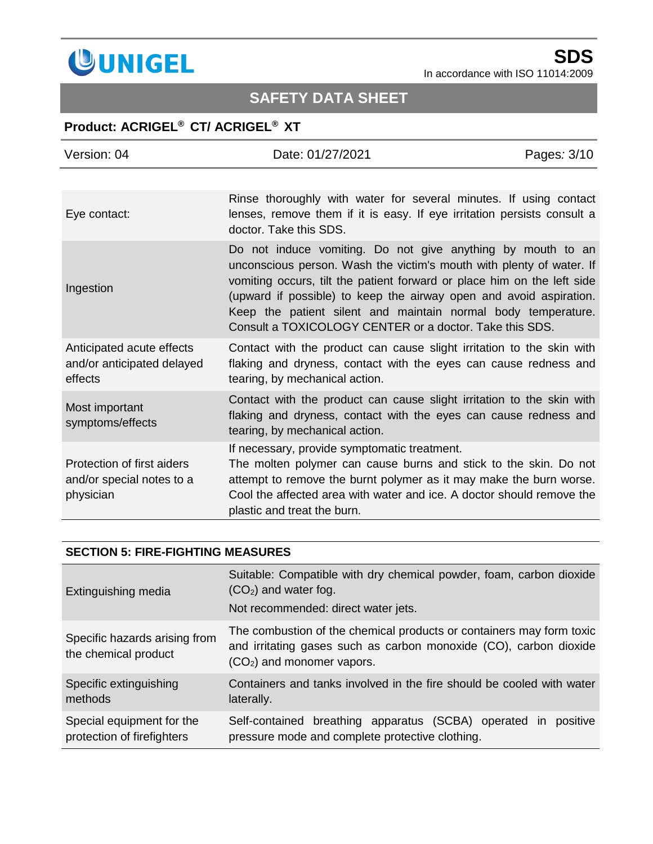

# **SAFETY DATA SHEET**

## **Product: ACRIGEL® CT/ ACRIGEL® XT**

| Version: 04                                                          | Date: 01/27/2021                                                                                                                                                                                                                                                                                                                                                                                                 | Pages: 3/10 |
|----------------------------------------------------------------------|------------------------------------------------------------------------------------------------------------------------------------------------------------------------------------------------------------------------------------------------------------------------------------------------------------------------------------------------------------------------------------------------------------------|-------------|
|                                                                      |                                                                                                                                                                                                                                                                                                                                                                                                                  |             |
| Eye contact:                                                         | Rinse thoroughly with water for several minutes. If using contact<br>lenses, remove them if it is easy. If eye irritation persists consult a<br>doctor. Take this SDS.                                                                                                                                                                                                                                           |             |
| Ingestion                                                            | Do not induce vomiting. Do not give anything by mouth to an<br>unconscious person. Wash the victim's mouth with plenty of water. If<br>vomiting occurs, tilt the patient forward or place him on the left side<br>(upward if possible) to keep the airway open and avoid aspiration.<br>Keep the patient silent and maintain normal body temperature.<br>Consult a TOXICOLOGY CENTER or a doctor. Take this SDS. |             |
| Anticipated acute effects<br>and/or anticipated delayed<br>effects   | Contact with the product can cause slight irritation to the skin with<br>flaking and dryness, contact with the eyes can cause redness and<br>tearing, by mechanical action.                                                                                                                                                                                                                                      |             |
| Most important<br>symptoms/effects                                   | Contact with the product can cause slight irritation to the skin with<br>flaking and dryness, contact with the eyes can cause redness and<br>tearing, by mechanical action.                                                                                                                                                                                                                                      |             |
| Protection of first aiders<br>and/or special notes to a<br>physician | If necessary, provide symptomatic treatment.<br>The molten polymer can cause burns and stick to the skin. Do not<br>attempt to remove the burnt polymer as it may make the burn worse.<br>Cool the affected area with water and ice. A doctor should remove the<br>plastic and treat the burn.                                                                                                                   |             |

### **SECTION 5: FIRE-FIGHTING MEASURES**

| Extinguishing media                                     | Suitable: Compatible with dry chemical powder, foam, carbon dioxide<br>$(CO2)$ and water fog.<br>Not recommended: direct water jets.                                                |
|---------------------------------------------------------|-------------------------------------------------------------------------------------------------------------------------------------------------------------------------------------|
| Specific hazards arising from<br>the chemical product   | The combustion of the chemical products or containers may form toxic<br>and irritating gases such as carbon monoxide (CO), carbon dioxide<br>(CO <sub>2</sub> ) and monomer vapors. |
| Specific extinguishing<br>methods                       | Containers and tanks involved in the fire should be cooled with water<br>laterally.                                                                                                 |
| Special equipment for the<br>protection of firefighters | Self-contained breathing apparatus (SCBA) operated in<br>positive<br>pressure mode and complete protective clothing.                                                                |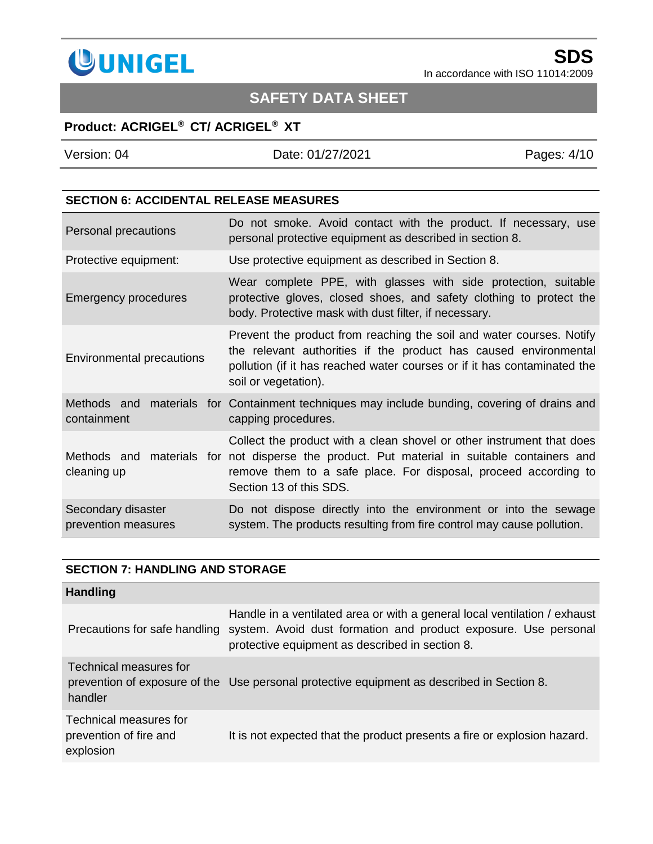

# **SAFETY DATA SHEET**

## **Product: ACRIGEL® CT/ ACRIGEL® XT**

Version: 04 Date: 01/27/2021 Pages*:* 4/10

### **SECTION 6: ACCIDENTAL RELEASE MEASURES**

| Personal precautions                      | Do not smoke. Avoid contact with the product. If necessary, use<br>personal protective equipment as described in section 8.                                                                                                                                        |
|-------------------------------------------|--------------------------------------------------------------------------------------------------------------------------------------------------------------------------------------------------------------------------------------------------------------------|
| Protective equipment:                     | Use protective equipment as described in Section 8.                                                                                                                                                                                                                |
| <b>Emergency procedures</b>               | Wear complete PPE, with glasses with side protection, suitable<br>protective gloves, closed shoes, and safety clothing to protect the<br>body. Protective mask with dust filter, if necessary.                                                                     |
| <b>Environmental precautions</b>          | Prevent the product from reaching the soil and water courses. Notify<br>the relevant authorities if the product has caused environmental<br>pollution (if it has reached water courses or if it has contaminated the<br>soil or vegetation).                       |
| Methods and<br>containment                | materials for Containment techniques may include bunding, covering of drains and<br>capping procedures.                                                                                                                                                            |
| cleaning up                               | Collect the product with a clean shovel or other instrument that does<br>Methods and materials for not disperse the product. Put material in suitable containers and<br>remove them to a safe place. For disposal, proceed according to<br>Section 13 of this SDS. |
| Secondary disaster<br>prevention measures | Do not dispose directly into the environment or into the sewage<br>system. The products resulting from fire control may cause pollution.                                                                                                                           |

### **SECTION 7: HANDLING AND STORAGE**

| <b>Handling</b>                                               |                                                                                                                                                                                                 |
|---------------------------------------------------------------|-------------------------------------------------------------------------------------------------------------------------------------------------------------------------------------------------|
| Precautions for safe handling                                 | Handle in a ventilated area or with a general local ventilation / exhaust<br>system. Avoid dust formation and product exposure. Use personal<br>protective equipment as described in section 8. |
| Technical measures for<br>handler                             | prevention of exposure of the Use personal protective equipment as described in Section 8.                                                                                                      |
| Technical measures for<br>prevention of fire and<br>explosion | It is not expected that the product presents a fire or explosion hazard.                                                                                                                        |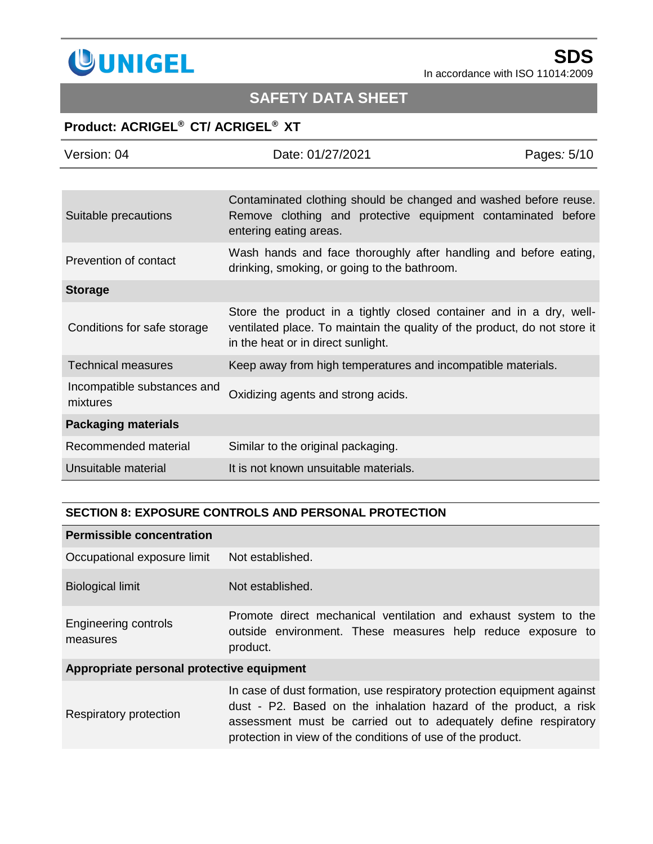

# **SAFETY DATA SHEET**

## **Product: ACRIGEL® CT/ ACRIGEL® XT**

| Version: 04                             | Date: 01/27/2021                                                                                                                                                                       | Pages: 5/10 |
|-----------------------------------------|----------------------------------------------------------------------------------------------------------------------------------------------------------------------------------------|-------------|
|                                         |                                                                                                                                                                                        |             |
| Suitable precautions                    | Contaminated clothing should be changed and washed before reuse.<br>Remove clothing and protective equipment contaminated before<br>entering eating areas.                             |             |
| Prevention of contact                   | Wash hands and face thoroughly after handling and before eating,<br>drinking, smoking, or going to the bathroom.                                                                       |             |
| <b>Storage</b>                          |                                                                                                                                                                                        |             |
| Conditions for safe storage             | Store the product in a tightly closed container and in a dry, well-<br>ventilated place. To maintain the quality of the product, do not store it<br>in the heat or in direct sunlight. |             |
| <b>Technical measures</b>               | Keep away from high temperatures and incompatible materials.                                                                                                                           |             |
| Incompatible substances and<br>mixtures | Oxidizing agents and strong acids.                                                                                                                                                     |             |
| <b>Packaging materials</b>              |                                                                                                                                                                                        |             |
| Recommended material                    | Similar to the original packaging.                                                                                                                                                     |             |
| Unsuitable material                     | It is not known unsuitable materials.                                                                                                                                                  |             |

### **SECTION 8: EXPOSURE CONTROLS AND PERSONAL PROTECTION**

| <b>Permissible concentration</b>          |                                                                                                                                                                                                                                                                               |  |
|-------------------------------------------|-------------------------------------------------------------------------------------------------------------------------------------------------------------------------------------------------------------------------------------------------------------------------------|--|
| Occupational exposure limit               | Not established.                                                                                                                                                                                                                                                              |  |
| <b>Biological limit</b>                   | Not established.                                                                                                                                                                                                                                                              |  |
| Engineering controls<br>measures          | Promote direct mechanical ventilation and exhaust system to the<br>outside environment. These measures help reduce exposure to<br>product.                                                                                                                                    |  |
| Appropriate personal protective equipment |                                                                                                                                                                                                                                                                               |  |
| Respiratory protection                    | In case of dust formation, use respiratory protection equipment against<br>dust - P2. Based on the inhalation hazard of the product, a risk<br>assessment must be carried out to adequately define respiratory<br>protection in view of the conditions of use of the product. |  |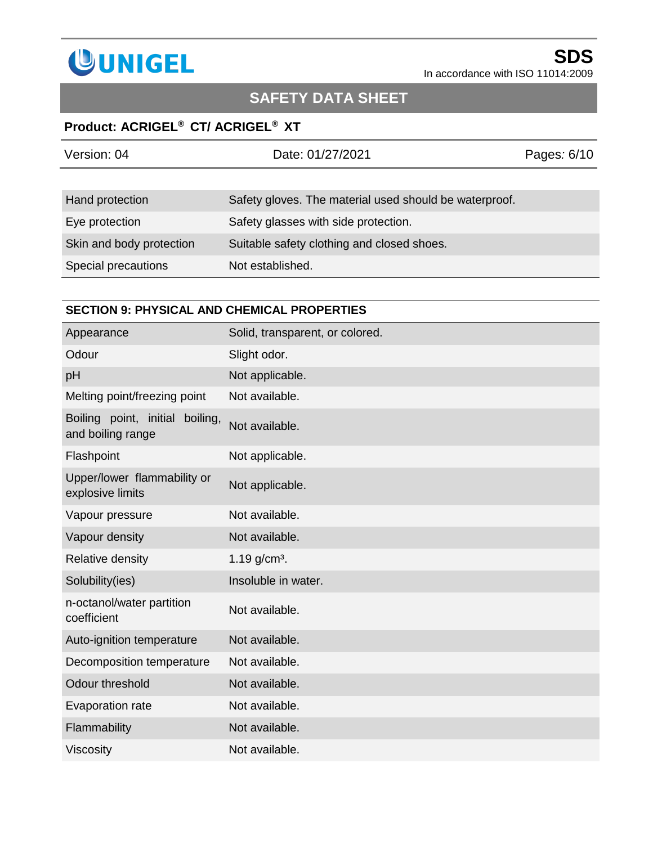

# **SAFETY DATA SHEET**

## **Product: ACRIGEL® CT/ ACRIGEL® XT**

| Version: 04              | Date: 01/27/2021                                       | Pages: 6/10 |
|--------------------------|--------------------------------------------------------|-------------|
|                          |                                                        |             |
| Hand protection          | Safety gloves. The material used should be waterproof. |             |
| Eye protection           | Safety glasses with side protection.                   |             |
| Skin and body protection | Suitable safety clothing and closed shoes.             |             |
| Special precautions      | Not established.                                       |             |

### **SECTION 9: PHYSICAL AND CHEMICAL PROPERTIES**

| Appearance                                              | Solid, transparent, or colored. |
|---------------------------------------------------------|---------------------------------|
| Odour                                                   | Slight odor.                    |
| pH                                                      | Not applicable.                 |
| Melting point/freezing point                            | Not available.                  |
| Boiling point, initial<br>boiling,<br>and boiling range | Not available.                  |
| Flashpoint                                              | Not applicable.                 |
| Upper/lower flammability or<br>explosive limits         | Not applicable.                 |
| Vapour pressure                                         | Not available.                  |
| Vapour density                                          | Not available.                  |
| Relative density                                        | 1.19 $g/cm3$ .                  |
| Solubility(ies)                                         | Insoluble in water.             |
| n-octanol/water partition<br>coefficient                | Not available.                  |
| Auto-ignition temperature                               | Not available.                  |
| Decomposition temperature                               | Not available.                  |
| Odour threshold                                         | Not available.                  |
| Evaporation rate                                        | Not available.                  |
| Flammability                                            | Not available.                  |
| <b>Viscosity</b>                                        | Not available.                  |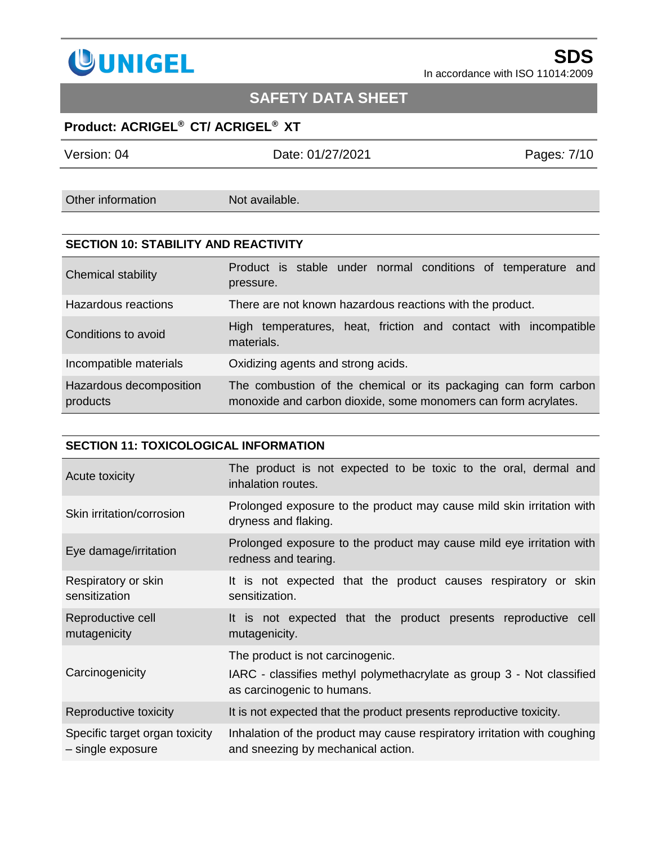

# **SAFETY DATA SHEET**

## **Product: ACRIGEL® CT/ ACRIGEL® XT**

| Version: 04       | Date: 01/27/2021 | Pages: 7/10 |
|-------------------|------------------|-------------|
|                   |                  |             |
| Other information | Not available.   |             |

### **SECTION 10: STABILITY AND REACTIVITY**

| Chemical stability                  | Product is stable under normal conditions of temperature and<br>pressure.                                                         |
|-------------------------------------|-----------------------------------------------------------------------------------------------------------------------------------|
| Hazardous reactions                 | There are not known hazardous reactions with the product.                                                                         |
| Conditions to avoid                 | High temperatures, heat, friction and contact with incompatible<br>materials.                                                     |
| Incompatible materials              | Oxidizing agents and strong acids.                                                                                                |
| Hazardous decomposition<br>products | The combustion of the chemical or its packaging can form carbon<br>monoxide and carbon dioxide, some monomers can form acrylates. |

#### **SECTION 11: TOXICOLOGICAL INFORMATION**

| Acute toxicity                                      | The product is not expected to be toxic to the oral, dermal and<br>inhalation routes.                                                   |
|-----------------------------------------------------|-----------------------------------------------------------------------------------------------------------------------------------------|
| Skin irritation/corrosion                           | Prolonged exposure to the product may cause mild skin irritation with<br>dryness and flaking.                                           |
| Eye damage/irritation                               | Prolonged exposure to the product may cause mild eye irritation with<br>redness and tearing.                                            |
| Respiratory or skin<br>sensitization                | It is not expected that the product causes respiratory or skin<br>sensitization.                                                        |
| Reproductive cell<br>mutagenicity                   | It is not expected that the product presents reproductive cell<br>mutagenicity.                                                         |
| Carcinogenicity                                     | The product is not carcinogenic.<br>IARC - classifies methyl polymethacrylate as group 3 - Not classified<br>as carcinogenic to humans. |
| Reproductive toxicity                               | It is not expected that the product presents reproductive toxicity.                                                                     |
| Specific target organ toxicity<br>- single exposure | Inhalation of the product may cause respiratory irritation with coughing<br>and sneezing by mechanical action.                          |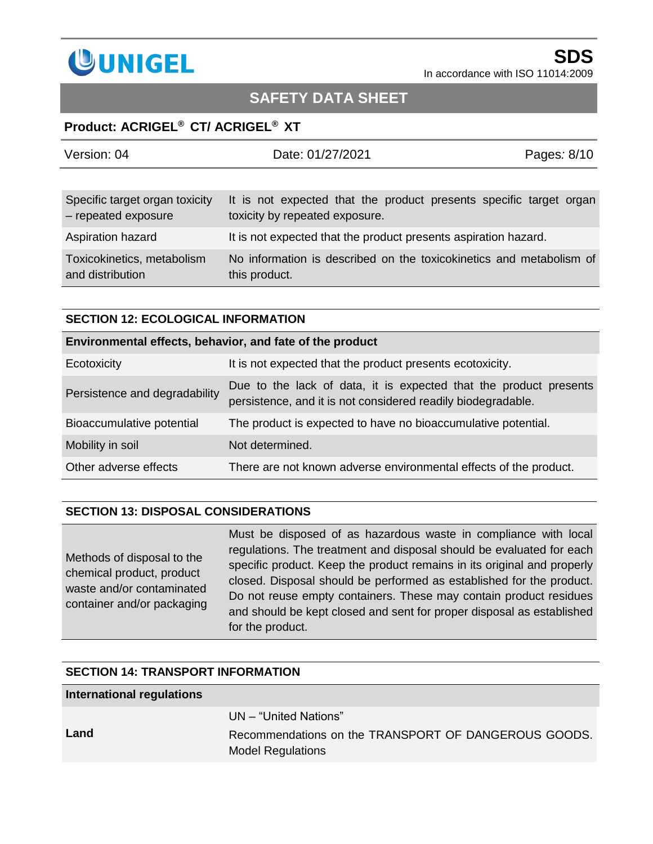

# **SAFETY DATA SHEET**

### **Product: ACRIGEL® CT/ ACRIGEL® XT**

| Version: 04                                           | Date: 01/27/2021                                                                                     | Pages: 8/10 |
|-------------------------------------------------------|------------------------------------------------------------------------------------------------------|-------------|
|                                                       |                                                                                                      |             |
| Specific target organ toxicity<br>- repeated exposure | It is not expected that the product presents specific target organ<br>toxicity by repeated exposure. |             |
| Aspiration hazard                                     | It is not expected that the product presents aspiration hazard.                                      |             |
| Toxicokinetics, metabolism<br>and distribution        | No information is described on the toxicokinetics and metabolism of<br>this product.                 |             |

#### **SECTION 12: ECOLOGICAL INFORMATION**

| Environmental effects, behavior, and fate of the product |                                                                                                                                   |  |  |
|----------------------------------------------------------|-----------------------------------------------------------------------------------------------------------------------------------|--|--|
| Ecotoxicity                                              | It is not expected that the product presents ecotoxicity.                                                                         |  |  |
| Persistence and degradability                            | Due to the lack of data, it is expected that the product presents<br>persistence, and it is not considered readily biodegradable. |  |  |
| Bioaccumulative potential                                | The product is expected to have no bioaccumulative potential.                                                                     |  |  |
| Mobility in soil                                         | Not determined.                                                                                                                   |  |  |
| Other adverse effects                                    | There are not known adverse environmental effects of the product.                                                                 |  |  |

### **SECTION 13: DISPOSAL CONSIDERATIONS**

Methods of disposal to the chemical product, product waste and/or contaminated container and/or packaging Must be disposed of as hazardous waste in compliance with local regulations. The treatment and disposal should be evaluated for each specific product. Keep the product remains in its original and properly closed. Disposal should be performed as established for the product. Do not reuse empty containers. These may contain product residues and should be kept closed and sent for proper disposal as established for the product.

#### **SECTION 14: TRANSPORT INFORMATION**

| International regulations |                                                                                                           |
|---------------------------|-----------------------------------------------------------------------------------------------------------|
| Land                      | UN – "United Nations"<br>Recommendations on the TRANSPORT OF DANGEROUS GOODS.<br><b>Model Regulations</b> |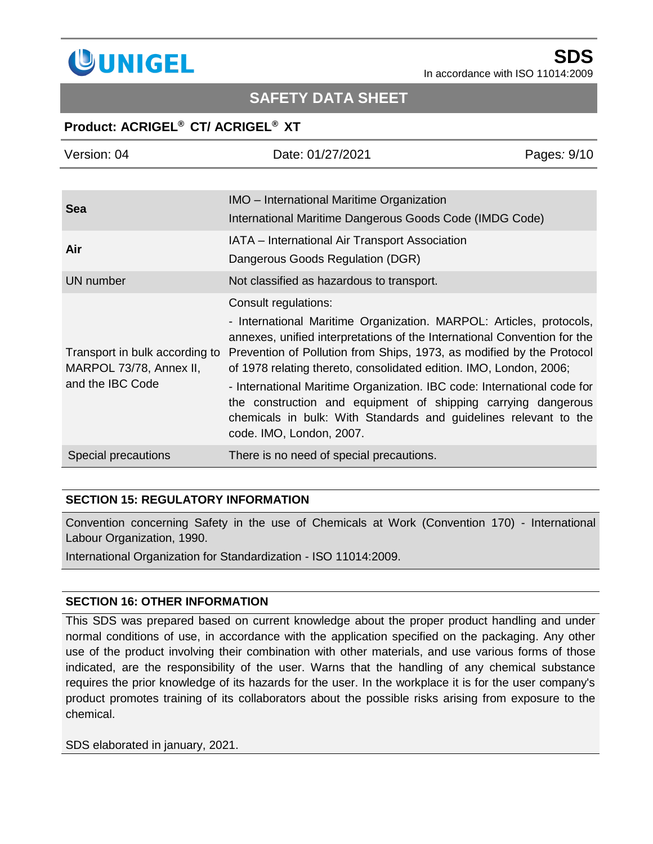

# **SAFETY DATA SHEET**

## **Product: ACRIGEL® CT/ ACRIGEL® XT**

| Version: 04                                                                   | Date: 01/27/2021                                                                                                                                                                                                                                                                                                                                                          | Pages: 9/10 |
|-------------------------------------------------------------------------------|---------------------------------------------------------------------------------------------------------------------------------------------------------------------------------------------------------------------------------------------------------------------------------------------------------------------------------------------------------------------------|-------------|
|                                                                               |                                                                                                                                                                                                                                                                                                                                                                           |             |
| <b>Sea</b>                                                                    | <b>IMO</b> – International Maritime Organization                                                                                                                                                                                                                                                                                                                          |             |
|                                                                               | International Maritime Dangerous Goods Code (IMDG Code)                                                                                                                                                                                                                                                                                                                   |             |
| Air                                                                           | IATA - International Air Transport Association                                                                                                                                                                                                                                                                                                                            |             |
|                                                                               | Dangerous Goods Regulation (DGR)                                                                                                                                                                                                                                                                                                                                          |             |
| <b>UN</b> number                                                              | Not classified as hazardous to transport.                                                                                                                                                                                                                                                                                                                                 |             |
| Transport in bulk according to<br>MARPOL 73/78, Annex II,<br>and the IBC Code | Consult regulations:                                                                                                                                                                                                                                                                                                                                                      |             |
|                                                                               | - International Maritime Organization. MARPOL: Articles, protocols,<br>annexes, unified interpretations of the International Convention for the<br>Prevention of Pollution from Ships, 1973, as modified by the Protocol<br>of 1978 relating thereto, consolidated edition. IMO, London, 2006;<br>- International Maritime Organization. IBC code: International code for |             |
|                                                                               | the construction and equipment of shipping carrying dangerous<br>chemicals in bulk: With Standards and guidelines relevant to the<br>code. IMO, London, 2007.                                                                                                                                                                                                             |             |
| Special precautions                                                           | There is no need of special precautions.                                                                                                                                                                                                                                                                                                                                  |             |

### **SECTION 15: REGULATORY INFORMATION**

Convention concerning Safety in the use of Chemicals at Work (Convention 170) - International Labour Organization, 1990.

International Organization for Standardization - ISO 11014:2009.

### **SECTION 16: OTHER INFORMATION**

This SDS was prepared based on current knowledge about the proper product handling and under normal conditions of use, in accordance with the application specified on the packaging. Any other use of the product involving their combination with other materials, and use various forms of those indicated, are the responsibility of the user. Warns that the handling of any chemical substance requires the prior knowledge of its hazards for the user. In the workplace it is for the user company's product promotes training of its collaborators about the possible risks arising from exposure to the chemical.

SDS elaborated in january, 2021.